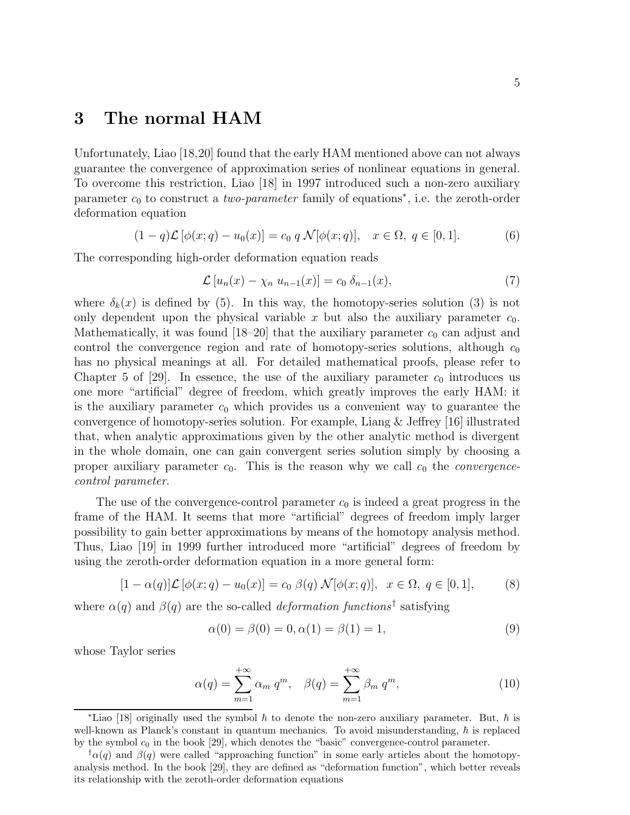## 3 The normal HAM

Unfortunately, Liao [18,20] found that the early HAM mentioned above can not always guarantee the convergence of approximation series of nonlinear equations in general. To overcome this restriction, Liao [18] in 1997 introduced such a non-zero auxiliary parameter  $c_0$  to construct a *two-parameter* family of equations<sup>\*</sup>, i.e. the zeroth-order deformation equation

$$
(1-q)\mathcal{L}[\phi(x;q) - u_0(x)] = c_0 q \mathcal{N}[\phi(x;q)], \quad x \in \Omega, q \in [0,1].
$$
 (6)

The corresponding high-order deformation equation reads

$$
\mathcal{L}\left[u_n(x) - \chi_n u_{n-1}(x)\right] = c_0 \delta_{n-1}(x),\tag{7}
$$

where  $\delta_k(x)$  is defined by (5). In this way, the homotopy-series solution (3) is not only dependent upon the physical variable x but also the auxiliary parameter  $c_0$ . Mathematically, it was found  $[18–20]$  that the auxiliary parameter  $c_0$  can adjust and control the convergence region and rate of homotopy-series solutions, although  $c_0$ has no physical meanings at all. For detailed mathematical proofs, please refer to Chapter 5 of  $[29]$ . In essence, the use of the auxiliary parameter  $c_0$  introduces us one more "artificial" degree of freedom, which greatly improves the early HAM: it is the auxiliary parameter  $c_0$  which provides us a convenient way to guarantee the convergence of homotopy-series solution. For example, Liang  $\&$  Jeffrey [16] illustrated that, when analytic approximations given by the other analytic method is divergent in the whole domain, one can gain convergent series solution simply by choosing a proper auxiliary parameter  $c_0$ . This is the reason why we call  $c_0$  the *convergence*control parameter.

The use of the convergence-control parameter  $c_0$  is indeed a great progress in the frame of the HAM. It seems that more "artificial" degrees of freedom imply larger possibility to gain better approximations by means of the homotopy analysis method. Thus, Liao [19] in 1999 further introduced more "artificial" degrees of freedom by using the zeroth-order deformation equation in a more general form:

$$
[1 - \alpha(q)]\mathcal{L}[\phi(x; q) - u_0(x)] = c_0 \beta(q) \mathcal{N}[\phi(x; q)], \quad x \in \Omega, \ q \in [0, 1], \tag{8}
$$

where  $\alpha(q)$  and  $\beta(q)$  are the so-called *deformation functions*<sup>†</sup> satisfying

$$
\alpha(0) = \beta(0) = 0, \alpha(1) = \beta(1) = 1,\tag{9}
$$

whose Taylor series

$$
\alpha(q) = \sum_{m=1}^{+\infty} \alpha_m \, q^m, \quad \beta(q) = \sum_{m=1}^{+\infty} \beta_m \, q^m,\tag{10}
$$

<sup>\*</sup>Liao [18] originally used the symbol  $\hbar$  to denote the non-zero auxiliary parameter. But,  $\hbar$  is well-known as Planck's constant in quantum mechanics. To avoid misunderstanding,  $\hbar$  is replaced by the symbol  $c_0$  in the book [29], which denotes the "basic" convergence-control parameter.

 $\phi(q)$  and  $\beta(q)$  were called "approaching function" in some early articles about the homotopyanalysis method. In the book [29], they are defined as "deformation function", which better reveals its relationship with the zeroth-order deformation equations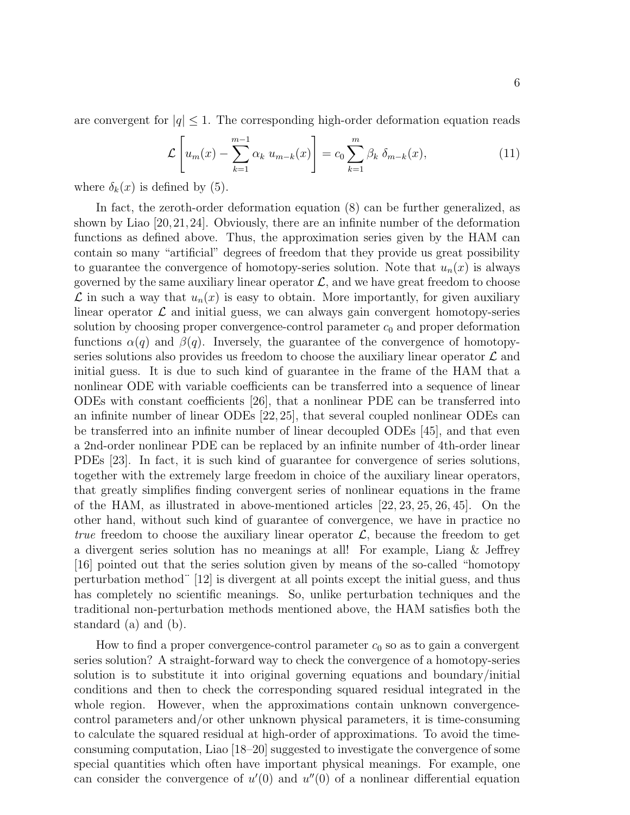are convergent for  $|q| \leq 1$ . The corresponding high-order deformation equation reads

$$
\mathcal{L}\left[u_m(x) - \sum_{k=1}^{m-1} \alpha_k u_{m-k}(x)\right] = c_0 \sum_{k=1}^{m} \beta_k \delta_{m-k}(x), \tag{11}
$$

where  $\delta_k(x)$  is defined by (5).

In fact, the zeroth-order deformation equation (8) can be further generalized, as shown by Liao [20,21,24]. Obviously, there are an infinite number of the deformation functions as defined above. Thus, the approximation series given by the HAM can contain so many "artificial" degrees of freedom that they provide us great possibility to guarantee the convergence of homotopy-series solution. Note that  $u_n(x)$  is always governed by the same auxiliary linear operator  $\mathcal{L}$ , and we have great freedom to choose  $\mathcal L$  in such a way that  $u_n(x)$  is easy to obtain. More importantly, for given auxiliary linear operator  $\mathcal L$  and initial guess, we can always gain convergent homotopy-series solution by choosing proper convergence-control parameter  $c_0$  and proper deformation functions  $\alpha(q)$  and  $\beta(q)$ . Inversely, the guarantee of the convergence of homotopyseries solutions also provides us freedom to choose the auxiliary linear operator  $\mathcal L$  and initial guess. It is due to such kind of guarantee in the frame of the HAM that a nonlinear ODE with variable coefficients can be transferred into a sequence of linear ODEs with constant coefficients [26], that a nonlinear PDE can be transferred into an infinite number of linear ODEs [22, 25], that several coupled nonlinear ODEs can be transferred into an infinite number of linear decoupled ODEs [45], and that even a 2nd-order nonlinear PDE can be replaced by an infinite number of 4th-order linear PDEs [23]. In fact, it is such kind of guarantee for convergence of series solutions, together with the extremely large freedom in choice of the auxiliary linear operators, that greatly simplifies finding convergent series of nonlinear equations in the frame of the HAM, as illustrated in above-mentioned articles [22, 23, 25, 26, 45]. On the other hand, without such kind of guarantee of convergence, we have in practice no true freedom to choose the auxiliary linear operator  $\mathcal{L}$ , because the freedom to get a divergent series solution has no meanings at all! For example, Liang & Jeffrey [16] pointed out that the series solution given by means of the so-called "homotopy perturbation method¨ [12] is divergent at all points except the initial guess, and thus has completely no scientific meanings. So, unlike perturbation techniques and the traditional non-perturbation methods mentioned above, the HAM satisfies both the standard (a) and (b).

How to find a proper convergence-control parameter  $c_0$  so as to gain a convergent series solution? A straight-forward way to check the convergence of a homotopy-series solution is to substitute it into original governing equations and boundary/initial conditions and then to check the corresponding squared residual integrated in the whole region. However, when the approximations contain unknown convergencecontrol parameters and/or other unknown physical parameters, it is time-consuming to calculate the squared residual at high-order of approximations. To avoid the timeconsuming computation, Liao [18–20] suggested to investigate the convergence of some special quantities which often have important physical meanings. For example, one can consider the convergence of  $u'(0)$  and  $u''(0)$  of a nonlinear differential equation